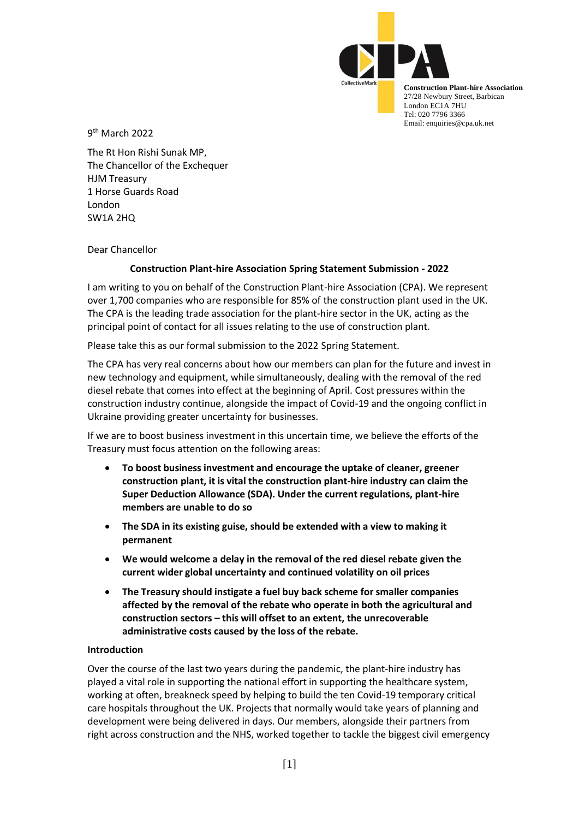

**Construction Plant-hire Association** 27/28 Newbury Street, Barbican London EC1A 7HU Tel: 020 7796 3366 Email: enquiries@cpa.uk.net

9<sup>th</sup> March 2022

The Rt Hon Rishi Sunak MP, The Chancellor of the Exchequer HJM Treasury 1 Horse Guards Road London SW1A 2HQ

Dear Chancellor

# **Construction Plant-hire Association Spring Statement Submission - 2022**

I am writing to you on behalf of the Construction Plant-hire Association (CPA). We represent over 1,700 companies who are responsible for 85% of the construction plant used in the UK. The CPA is the leading trade association for the plant-hire sector in the UK, acting as the principal point of contact for all issues relating to the use of construction plant.

Please take this as our formal submission to the 2022 Spring Statement.

The CPA has very real concerns about how our members can plan for the future and invest in new technology and equipment, while simultaneously, dealing with the removal of the red diesel rebate that comes into effect at the beginning of April. Cost pressures within the construction industry continue, alongside the impact of Covid-19 and the ongoing conflict in Ukraine providing greater uncertainty for businesses.

If we are to boost business investment in this uncertain time, we believe the efforts of the Treasury must focus attention on the following areas:

- **To boost business investment and encourage the uptake of cleaner, greener construction plant, it is vital the construction plant-hire industry can claim the Super Deduction Allowance (SDA). Under the current regulations, plant-hire members are unable to do so**
- **The SDA in its existing guise, should be extended with a view to making it permanent**
- **We would welcome a delay in the removal of the red diesel rebate given the current wider global uncertainty and continued volatility on oil prices**
- **The Treasury should instigate a fuel buy back scheme for smaller companies affected by the removal of the rebate who operate in both the agricultural and construction sectors – this will offset to an extent, the unrecoverable administrative costs caused by the loss of the rebate.**

### **Introduction**

Over the course of the last two years during the pandemic, the plant-hire industry has played a vital role in supporting the national effort in supporting the healthcare system, working at often, breakneck speed by helping to build the ten Covid-19 temporary critical care hospitals throughout the UK. Projects that normally would take years of planning and development were being delivered in days. Our members, alongside their partners from right across construction and the NHS, worked together to tackle the biggest civil emergency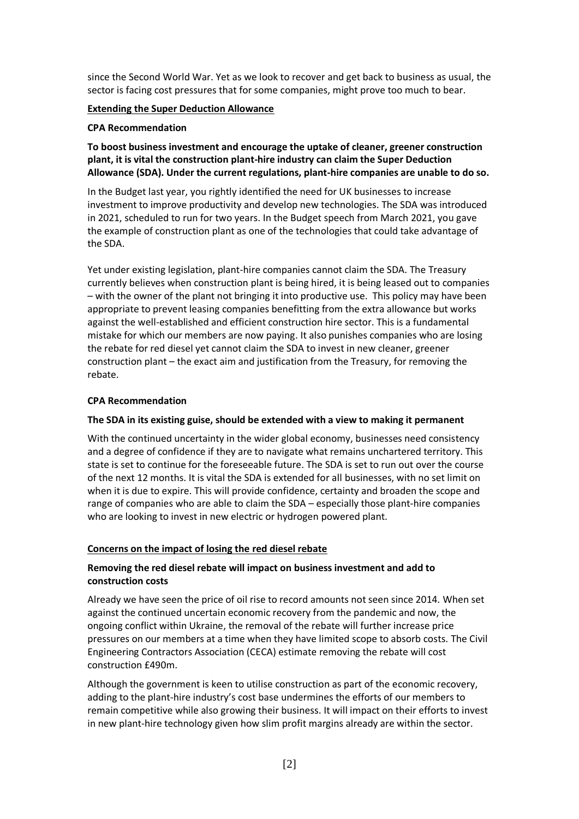since the Second World War. Yet as we look to recover and get back to business as usual, the sector is facing cost pressures that for some companies, might prove too much to bear.

### **Extending the Super Deduction Allowance**

#### **CPA Recommendation**

**To boost business investment and encourage the uptake of cleaner, greener construction plant, it is vital the construction plant-hire industry can claim the Super Deduction Allowance (SDA). Under the current regulations, plant-hire companies are unable to do so.** 

In the Budget last year, you rightly identified the need for UK businesses to increase investment to improve productivity and develop new technologies. The SDA was introduced in 2021, scheduled to run for two years. In the Budget speech from March 2021, you gave the example of construction plant as one of the technologies that could take advantage of the SDA.

Yet under existing legislation, plant-hire companies cannot claim the SDA. The Treasury currently believes when construction plant is being hired, it is being leased out to companies – with the owner of the plant not bringing it into productive use. This policy may have been appropriate to prevent leasing companies benefitting from the extra allowance but works against the well-established and efficient construction hire sector. This is a fundamental mistake for which our members are now paying. It also punishes companies who are losing the rebate for red diesel yet cannot claim the SDA to invest in new cleaner, greener construction plant – the exact aim and justification from the Treasury, for removing the rebate.

### **CPA Recommendation**

### **The SDA in its existing guise, should be extended with a view to making it permanent**

With the continued uncertainty in the wider global economy, businesses need consistency and a degree of confidence if they are to navigate what remains unchartered territory. This state is set to continue for the foreseeable future. The SDA is set to run out over the course of the next 12 months. It is vital the SDA is extended for all businesses, with no set limit on when it is due to expire. This will provide confidence, certainty and broaden the scope and range of companies who are able to claim the SDA – especially those plant-hire companies who are looking to invest in new electric or hydrogen powered plant.

### **Concerns on the impact of losing the red diesel rebate**

### **Removing the red diesel rebate will impact on business investment and add to construction costs**

Already we have seen the price of oil rise to record amounts not seen since 2014. When set against the continued uncertain economic recovery from the pandemic and now, the ongoing conflict within Ukraine, the removal of the rebate will further increase price pressures on our members at a time when they have limited scope to absorb costs. The Civil Engineering Contractors Association (CECA) estimate removing the rebate will cost construction £490m.

Although the government is keen to utilise construction as part of the economic recovery, adding to the plant-hire industry's cost base undermines the efforts of our members to remain competitive while also growing their business. It will impact on their efforts to invest in new plant-hire technology given how slim profit margins already are within the sector.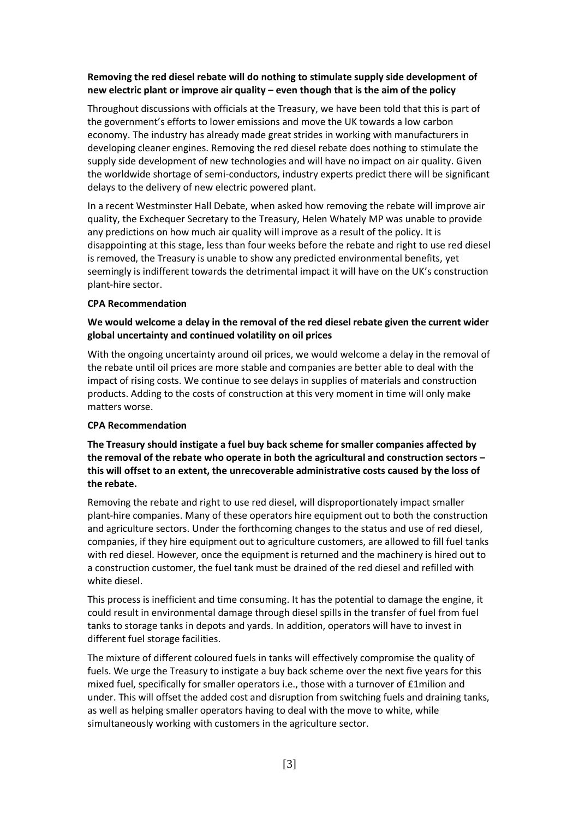# **Removing the red diesel rebate will do nothing to stimulate supply side development of new electric plant or improve air quality – even though that is the aim of the policy**

Throughout discussions with officials at the Treasury, we have been told that this is part of the government's efforts to lower emissions and move the UK towards a low carbon economy. The industry has already made great strides in working with manufacturers in developing cleaner engines. Removing the red diesel rebate does nothing to stimulate the supply side development of new technologies and will have no impact on air quality. Given the worldwide shortage of semi-conductors, industry experts predict there will be significant delays to the delivery of new electric powered plant.

In a recent Westminster Hall Debate, when asked how removing the rebate will improve air quality, the Exchequer Secretary to the Treasury, Helen Whately MP was unable to provide any predictions on how much air quality will improve as a result of the policy. It is disappointing at this stage, less than four weeks before the rebate and right to use red diesel is removed, the Treasury is unable to show any predicted environmental benefits, yet seemingly is indifferent towards the detrimental impact it will have on the UK's construction plant-hire sector.

### **CPA Recommendation**

# **We would welcome a delay in the removal of the red diesel rebate given the current wider global uncertainty and continued volatility on oil prices**

With the ongoing uncertainty around oil prices, we would welcome a delay in the removal of the rebate until oil prices are more stable and companies are better able to deal with the impact of rising costs. We continue to see delays in supplies of materials and construction products. Adding to the costs of construction at this very moment in time will only make matters worse.

### **CPA Recommendation**

**The Treasury should instigate a fuel buy back scheme for smaller companies affected by the removal of the rebate who operate in both the agricultural and construction sectors – this will offset to an extent, the unrecoverable administrative costs caused by the loss of the rebate.** 

Removing the rebate and right to use red diesel, will disproportionately impact smaller plant-hire companies. Many of these operators hire equipment out to both the construction and agriculture sectors. Under the forthcoming changes to the status and use of red diesel, companies, if they hire equipment out to agriculture customers, are allowed to fill fuel tanks with red diesel. However, once the equipment is returned and the machinery is hired out to a construction customer, the fuel tank must be drained of the red diesel and refilled with white diesel.

This process is inefficient and time consuming. It has the potential to damage the engine, it could result in environmental damage through diesel spills in the transfer of fuel from fuel tanks to storage tanks in depots and yards. In addition, operators will have to invest in different fuel storage facilities.

The mixture of different coloured fuels in tanks will effectively compromise the quality of fuels. We urge the Treasury to instigate a buy back scheme over the next five years for this mixed fuel, specifically for smaller operators i.e., those with a turnover of £1milion and under. This will offset the added cost and disruption from switching fuels and draining tanks, as well as helping smaller operators having to deal with the move to white, while simultaneously working with customers in the agriculture sector.